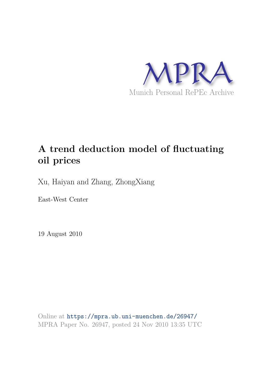

# **A trend deduction model of fluctuating oil prices**

Xu, Haiyan and Zhang, ZhongXiang

East-West Center

19 August 2010

Online at https://mpra.ub.uni-muenchen.de/26947/ MPRA Paper No. 26947, posted 24 Nov 2010 13:35 UTC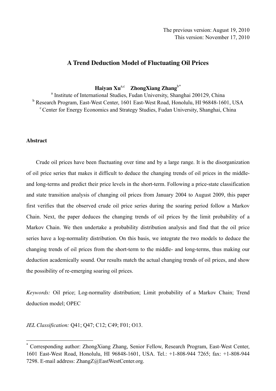# **A Trend Deduction Model of Fluctuating Oil Prices**

Haiyan Xu<sup>a,c</sup> ZhongXiang Zhang<sup>b[\\*](#page-1-0)</sup>

<sup>a</sup> Institute of International Studies, Fudan University, Shanghai 200129, China <sup>b</sup> Research Program, East-West Center, 1601 East-West Road, Honolulu, HI 96848-1601, USA <sup>c</sup> Center for Energy Economics and Strategy Studies, Fudan University, Shanghai, China

### **Abstract**

 $\overline{a}$ 

Crude oil prices have been fluctuating over time and by a large range. It is the disorganization of oil price series that makes it difficult to deduce the changing trends of oil prices in the middleand long-terms and predict their price levels in the short-term. Following a price-state classification and state transition analysis of changing oil prices from January 2004 to August 2009, this paper first verifies that the observed crude oil price series during the soaring period follow a Markov Chain. Next, the paper deduces the changing trends of oil prices by the limit probability of a Markov Chain. We then undertake a probability distribution analysis and find that the oil price series have a log-normality distribution. On this basis, we integrate the two models to deduce the changing trends of oil prices from the short-term to the middle- and long-terms, thus making our deduction academically sound. Our results match the actual changing trends of oil prices, and show the possibility of re-emerging soaring oil prices.

*Keywords:* Oil price; Log-normality distribution; Limit probability of a Markov Chain; Trend deduction model; OPEC

*JEL Classification:* Q41; Q47; C12; C49; F01; O13.

<span id="page-1-0"></span><sup>\*</sup> Corresponding author: ZhongXiang Zhang, Senior Fellow, Research Program, East-West Center, 1601 East-West Road, Honolulu, HI 96848-1601, USA. Tel.: +1-808-944 7265; fax: +1-808-944 7298. E-mail address: ZhangZ@EastWestCenter.org.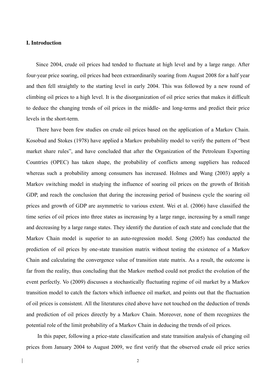### **I. Introduction**

Since 2004, crude oil prices had tended to fluctuate at high level and by a large range. After four-year price soaring, oil prices had been extraordinarily soaring from August 2008 for a half year and then fell straightly to the starting level in early 2004. This was followed by a new round of climbing oil prices to a high level. It is the disorganization of oil price series that makes it difficult to deduce the changing trends of oil prices in the middle- and long-terms and predict their price levels in the short-term.

There have been few studies on crude oil prices based on the application of a Markov Chain. Kosobud and Stokes (1978) have applied a Markov probability model to verify the pattern of "best market share rules", and have concluded that after the Organization of the Petroleum Exporting Countries (OPEC) has taken shape, the probability of conflicts among suppliers has reduced whereas such a probability among consumers has increased. Holmes and Wang (2003) apply a Markov switching model in studying the influence of soaring oil prices on the growth of British GDP, and reach the conclusion that during the increasing period of business cycle the soaring oil prices and growth of GDP are asymmetric to various extent. Wei et al. (2006) have classified the time series of oil prices into three states as increasing by a large range, increasing by a small range and decreasing by a large range states. They identify the duration of each state and conclude that the Markov Chain model is superior to an auto-regression model. Song (2005) has conducted the prediction of oil prices by one-state transition matrix without testing the existence of a Markov Chain and calculating the convergence value of transition state matrix. As a result, the outcome is far from the reality, thus concluding that the Markov method could not predict the evolution of the event perfectly. Vo (2009) discusses a stochastically fluctuating regime of oil market by a Markov transition model to catch the factors which influence oil market, and points out that the fluctuation of oil prices is consistent. All the literatures cited above have not touched on the deduction of trends and prediction of oil prices directly by a Markov Chain. Moreover, none of them recognizes the potential role of the limit probability of a Markov Chain in deducing the trends of oil prices.

In this paper, following a price-state classification and state transition analysis of changing oil prices from January 2004 to August 2009, we first verify that the observed crude oil price series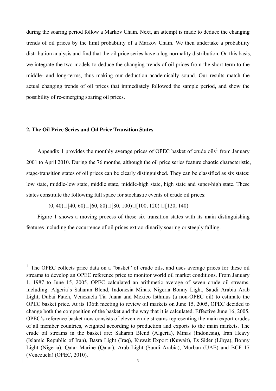during the soaring period follow a Markov Chain. Next, an attempt is made to deduce the changing trends of oil prices by the limit probability of a Markov Chain. We then undertake a probability distribution analysis and find that the oil price series have a log-normality distribution. On this basis, we integrate the two models to deduce the changing trends of oil prices from the short-term to the middle- and long-terms, thus making our deduction academically sound. Our results match the actual changing trends of oil prices that immediately followed the sample period, and show the possibility of re-emerging soaring oil prices.

## **2. The Oil Price Series and Oil Price Transition States**

 $\overline{a}$ 

Appendix [1](#page-3-0) provides the monthly average prices of OPEC basket of crude oils<sup>1</sup> from January 2001 to April 2010. During the 76 months, although the oil price series feature chaotic characteristic, stage-transition states of oil prices can be clearly distinguished. They can be classified as six states: low state, middle-low state, middle state, middle-high state, high state and super-high state. These states constitute the following full space for stochastic events of crude oil prices:

 $(0, 40)$ [40, 60)[60, 80)[80, 100)[100, 120) [120, 140)

 Figure 1 shows a moving process of these six transition states with its main distinguishing features including the occurrence of oil prices extraordinarily soaring or steeply falling.

<span id="page-3-0"></span><sup>1</sup> The OPEC collects price data on a "basket" of crude oils, and uses average prices for these oil streams to develop an OPEC reference price to monitor world oil market conditions. From January 1, 1987 to June 15, 2005, OPEC calculated an arithmetic average of seven crude oil streams, including: Algeria's Saharan Blend, Indonesia Minas, Nigeria Bonny Light, Saudi Arabia Arab Light, Dubai Fateh, Venezuela Tia Juana and Mexico Isthmus (a non-OPEC oil) to estimate the OPEC basket price. At its 136th meeting to review oil markets on June 15, 2005, OPEC decided to change both the composition of the basket and the way that it is calculated. Effective June 16, 2005, OPEC's reference basket now consists of eleven crude streams representing the main export crudes of all member countries, weighted according to production and exports to the main markets. The crude oil streams in the basket are: Saharan Blend (Algeria), Minas (Indonesia), Iran Heavy (Islamic Republic of Iran), Basra Light (Iraq), Kuwait Export (Kuwait), Es Sider (Libya), Bonny Light (Nigeria), Qatar Marine (Qatar), Arab Light (Saudi Arabia), Murban (UAE) and BCF 17 (Venezuela) (OPEC, 2010).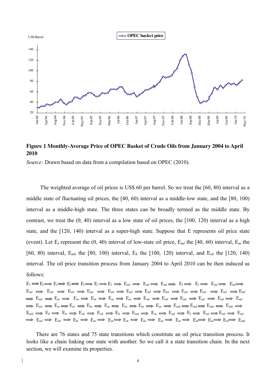

# **Figure 1 Monthly-Average Price of OPEC Basket of Crude Oils from January 2004 to April 2010**

*Source:* Drawn based on data from a compilation based on OPEC (2010).

The weighted average of oil prices is US\$ 60 per barrel. So we treat the [60, 80) interval as a middle state of fluctuating oil prices, the [40, 60) interval as a middle-low state, and the [80, 100) interval as a middle-high state. The three states can be broadly termed as the middle state. By contrast, we treat the (0, 40) interval as a low state of oil prices, the [100, 120) interval as a high state, and the [120, 140) interval as a super-high state. Suppose that E represents oil price state (event). Let E*<sup>l</sup>* represent the (0, 40) interval of low-state oil price, E*ml* the [40, 60) interval, E*m* the [60, 80) interval, E*mh* the [80, 100) interval, E*h* the [100, 120) interval, and E*eh* the [120, 140) interval. The oil price transition process from January 2004 to April 2010 can be then induced as follows:

 $E_l \Longrightarrow E_l \Longrightarrow E_l \Longrightarrow E_l \Longrightarrow E_l \Longrightarrow E_l \Longrightarrow E_{ml} \Longrightarrow E_{ml} \Longrightarrow E_{ml} \Longrightarrow E_l \Longrightarrow E_l \Longrightarrow E_{ml} \Longrightarrow E_{ml}$  $E_{ml} \implies E_{ml} \implies E_{ml} \implies E_{ml} \implies E_{ml} \implies E_{ml} \implies E_{ml} \implies E_{ml} \implies E_{ml} \implies E_{ml} \implies E_{ml} \implies E_{ml} \implies E_{ml} \implies E_{ml} \implies E_{ml} \implies E_{ml} \implies E_{ml} \implies E_{ml} \implies E_{ml} \implies E_{ml} \implies E_{ml} \implies E_{ml} \implies E_{ml} \implies E_{ml} \implies E_{ml} \implies E_{ml} \implies E_{ml} \implies E_{ml} \implies E_{ml} \implies E_{ml} \implies E_{ml} \implies E_{ml$ E*ml* E*m* E*m* E*m* E*m* E*m* E*ml* E*ml* E*ml* E*ml* E*ml* E*ml*  $\Rightarrow$   $E_m \Rightarrow E_m \Longrightarrow E_m \Longrightarrow E_m \Longrightarrow E_m \Longrightarrow E_m \Longrightarrow E_m \Longrightarrow E_m \Longrightarrow E_{mh} \Longrightarrow E_{mh} \Longrightarrow E_{mh} \Longrightarrow E_{mh}$  $E_{mh} \implies E_h \implies E_h \implies E_{eh} \implies E_{eh} \implies E_h \implies E_{mh} \implies E_m \implies E_{ml} \implies E_l \implies E_{ml} \implies E_{ml} \implies E_{mh}$  $\Rightarrow$   $E_m$   $\Rightarrow$   $E_m$   $\Rightarrow$   $E_m$   $\Rightarrow$   $E_m$   $\Rightarrow$   $E_m$   $\Rightarrow$   $E_m$   $\Rightarrow$   $E_m$   $\Rightarrow$   $E_m$   $\Rightarrow$   $E_m$   $\Rightarrow$   $E_m$   $\Rightarrow$   $E_m$ 

There are 76 states and 75 state transitions which constitute an oil price transition process. It looks like a chain linking one state with another. So we call it a state transition chain. In the next section, we will examine its properties.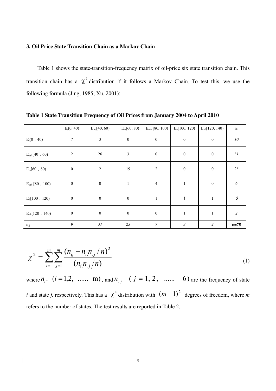### **3. Oil Price State Transition Chain as a Markov Chain**

Table 1 shows the state-transition-frequency matrix of oil-price six state transition chain. This transition chain has a  $\chi^2$  distribution if it follows a Markov Chain. To test this, we use the following formula (Jing, 1985; Xu, 2001):

|                    | $E_l(0, 40)$     | $E_{ml}[40, 60)$ | $E_m[60, 80)$    | $E_{mh}$ [80, 100) | $E_h[100, 120)$  | $E_{eh}$ [120, 140) | $n_{i}$                     |
|--------------------|------------------|------------------|------------------|--------------------|------------------|---------------------|-----------------------------|
| $E_l(0, 40)$       | $\tau$           | $\overline{3}$   | $\boldsymbol{0}$ | $\boldsymbol{0}$   | $\boldsymbol{0}$ | $\boldsymbol{0}$    | $10\,$                      |
| $E_{ml}$ [40, 60)  | $\overline{2}$   | $26\,$           | $\mathfrak{Z}$   | $\boldsymbol{0}$   | $\boldsymbol{0}$ | $\boldsymbol{0}$    | 31                          |
| $E_m[60, 80)$      | $\boldsymbol{0}$ | $\overline{2}$   | 19               | $\sqrt{2}$         | $\boldsymbol{0}$ | $\boldsymbol{0}$    | 23                          |
| $E_{mh}$ [80, 100) | $\boldsymbol{0}$ | $\boldsymbol{0}$ | $\mathbf{1}$     | $\overline{4}$     | $\mathbf{1}$     | $\boldsymbol{0}$    | $\boldsymbol{\delta}$       |
| $E_h[100, 120)$    | $\boldsymbol{0}$ | $\boldsymbol{0}$ | $\boldsymbol{0}$ | $\,1$              | 1                | $\mathbf{1}$        | $\mathcal{S}_{\mathcal{S}}$ |
| $E_{eh}[120, 140)$ | $\boldsymbol{0}$ | $\boldsymbol{0}$ | $\boldsymbol{0}$ | $\boldsymbol{0}$   | $\mathbf{1}$     | $\mathbf{1}$        | $\overline{c}$              |
| $n_{.j}$           | 9                | 31               | 23               | $\overline{7}$     | $\mathfrak{Z}$   | 2                   | $n=75$                      |

**Table 1 State Transition Frequency of Oil Prices from January 2004 to April 2010** 

$$
\chi^2 = \sum_{i=1}^m \sum_{j=1}^m \frac{(n_{ij} - n_{i.}n_{.j}/n)^2}{(n_{i.}n_{.j}/n)}
$$
(1)

where  $n_i$ .  $(i = 1, 2, \dots, m)$ , and  $n_{i,j}$   $(j = 1, 2, \dots, 6)$  are the frequency of state *i* and state *j*, respectively. This has a  $\chi^2$  distribution with  $(m-1)^2$  degrees of freedom, where *m* refers to the number of states. The test results are reported in Table 2.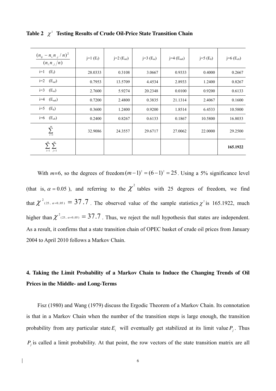| $(n_{ij} - n_{i} n_{j}/n)^{2}$<br>$\frac{\frac{1}{n_i}n_{i,j}}{n}$ | $j=1(E_l)$ | $j=2(E_{ml})$ | $j=3(E_m)$ | $j=4$ (E <sub>mh</sub> ) | $j=5(E_h)$ | j=6 $(E_{eh})$ |
|--------------------------------------------------------------------|------------|---------------|------------|--------------------------|------------|----------------|
| $(E_l)$<br>$i=1$                                                   | 28.0333    | 0.3108        | 3.0667     | 0.9333                   | 0.4000     | 0.2667         |
| $(E_{ml})$<br>$i=2$                                                | 0.7953     | 13.5709       | 4.4534     | 2.8933                   | 1.2400     | 0.8267         |
| $(E_m)$<br>$i=3$                                                   | 2.7600     | 5.9274        | 20.2348    | 0.0100                   | 0.9200     | 0.6133         |
| $(E_{mh})$<br>$i=4$                                                | 0.7200     | 2.4800        | 0.3835     | 21.1314                  | 2.4067     | 0.1600         |
| $i=5$<br>$(E_h)$                                                   | 0.3600     | 1.2400        | 0.9200     | 1.8514                   | 6.4533     | 10.5800        |
| $i=6$<br>$(E_{eh})$                                                | 0.2400     | 0.8267        | 0.6133     | 0.1867                   | 10.5800    | 16.8033        |
| $\sum^m$<br>$\overline{i=1}$                                       | 32.9086    | 24.3557       | 29.6717    | 27.0062                  | 22.0000    | 29.2500        |
| $\sum_{i=1}^{m} \sum_{i=1}^{m}$<br>$i=1$ $j=1$                     |            |               |            |                          |            | 165.1922       |

**Table 2**  $\chi^2$  Testing Results of Crude Oil-Price State Transition Chain

With  $m=6$ , so the degrees of freedom $(m-1)^2 = (6-1)^2 = 25$ . Using a 5% significance level (that is,  $\alpha = 0.05$ ), and referring to the  $\chi^2$  tables with 25 degrees of freedom, we find that  $\chi^2$ <sup>(25,  $\alpha = 0.05$ ) = 37.7. The observed value of the sample statistics  $\chi^2$  is 165.1922, much</sup> higher than  $\chi^2$ <sub>(25,  $\alpha=0.05$ )</sub> = 37.7. Thus, we reject the null hypothesis that states are independent. As a result, it confirms that a state transition chain of OPEC basket of crude oil prices from January 2004 to April 2010 follows a Markov Chain.

# **4. Taking the Limit Probability of a Markov Chain to Induce the Changing Trends of Oil Prices in the Middle- and Long-Terms**

Fisz (1980) and Wang (1979) discuss the Ergodic Theorem of a Markov Chain. Its connotation is that in a Markov Chain when the number of the transition steps is large enough, the transition probability from any particular state  $E_i$  will eventually get stabilized at its limit value  $P_j$ . Thus  $P_j$  is called a limit probability. At that point, the row vectors of the state transition matrix are all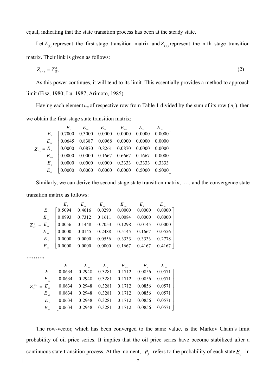equal, indicating that the state transition process has been at the steady state.

Let  $Z_{(1)}$  represent the first-stage transition matrix and  $Z_{(n)}$  represent the n-th stage transition matrix. Their link is given as follows:

$$
Z_{(n)} = Z_{(1)}^{n} \tag{2}
$$

As this power continues, it will tend to its limit. This essentially provides a method to approach limit (Fisz, 1980; Lu, 1987; Arimoto, 1985).

Having each element  $n_{ij}$  of respective row from Table 1 divided by the sum of its row  $(n_i)$ , then we obtain the first-stage state transition matrix:

|                                                                            | $\begin{array}{ccccccccc} & & E_{_I} & & E_{_m} & & E_{_m} & & E_{_m} & & E_{_m} \ & E_{_I} & [0.7000 & 0.3000 & 0.0000 & 0.0000 & 0.0000 & 0.0000] \end{array}$ |  |  |  |
|----------------------------------------------------------------------------|------------------------------------------------------------------------------------------------------------------------------------------------------------------|--|--|--|
|                                                                            | $E_{m}$   0.0645 0.8387 0.0968 0.0000 0.0000 0.0000                                                                                                              |  |  |  |
| $Z_{\text{on}} = E_{\text{m}}$ (0.0000 0.0870 0.8261 0.0870 0.0000 0.0000) |                                                                                                                                                                  |  |  |  |
|                                                                            | $E_{m}$   0.0000 0.0000 0.1667 0.6667 0.1667 0.0000                                                                                                              |  |  |  |
|                                                                            | $E_{\kappa}$ 0.0000 0.0000 0.0000 0.3333 0.3333 0.3333                                                                                                           |  |  |  |
|                                                                            | $E_{\scriptscriptstyle{ab}}$   0.0000 0.0000 0.0000 0.0000 0.5000 0.5000                                                                                         |  |  |  |

Similarly, we can derive the second-stage state transition matrix, …, and the convergence state

transition matrix as follows:

|                                                                                                                               | $\begin{array}{ccccccccc} & & E & & E_{m} & & E_{m} & & E_{n} & & E_{n} & & E_{n} \ & E_{i} & [0.5094 & 0.4616 & 0.0290 & 0.0000 & 0.0000 & 0.0000 & 0.0000] \end{array}$ |  |  |  |
|-------------------------------------------------------------------------------------------------------------------------------|---------------------------------------------------------------------------------------------------------------------------------------------------------------------------|--|--|--|
|                                                                                                                               | $E_{m}$ 0.0993 0.7312 0.1611 0.0084 0.0000 0.0000                                                                                                                         |  |  |  |
| $Z_{_{(1)}}^2 = E_{_{m}}^2$ 0.0056 0.1448 0.7053 0.1298 0.0145 0.0000<br>$E_{_{m}}$ 0.0000 0.0145 0.2488 0.5145 0.1667 0.0556 |                                                                                                                                                                           |  |  |  |
|                                                                                                                               |                                                                                                                                                                           |  |  |  |
|                                                                                                                               | $E_{h}$ 0.0000 0.0000 0.0556 0.3333 0.3333 0.2778                                                                                                                         |  |  |  |
|                                                                                                                               | $E_{\scriptscriptstyle{A}}$   0.0000 0.0000 0.0000 0.1667 0.4167 0.4167                                                                                                   |  |  |  |

**……….** 

|                                                                                                                    | $E_{i}$ $E_{m}$ $E_{m}$ $E_{m}$ $E_{m}$ $E_{m}$ $E_{n}$ $E_{n}$ $E_{n}$<br>$E_{n}$ $E_{n}$ $E_{n}$ $E_{n}$<br>$E_{0.0634}$ $0.2948$ $0.3281$ $0.1712$ $0.0856$ $0.0571$ |  |  |  |
|--------------------------------------------------------------------------------------------------------------------|-------------------------------------------------------------------------------------------------------------------------------------------------------------------------|--|--|--|
|                                                                                                                    | $E_{m}$ 0.0634 0.2948 0.3281 0.1712 0.0856 0.0571                                                                                                                       |  |  |  |
| $Z_{(1)}^{256} = E_m$ 0.0634 0.2948 0.3281 0.1712 0.0856 0.0571<br>$E_m$ 0.0634 0.2948 0.3281 0.1712 0.0856 0.0571 |                                                                                                                                                                         |  |  |  |
|                                                                                                                    |                                                                                                                                                                         |  |  |  |
|                                                                                                                    | $E_{h}$   0.0634 0.2948 0.3281 0.1712 0.0856 0.0571                                                                                                                     |  |  |  |
|                                                                                                                    | $E_{ab}$ $\begin{bmatrix} 0.0634 & 0.2948 & 0.3281 & 0.1712 & 0.0856 & 0.0571 \end{bmatrix}$                                                                            |  |  |  |

The row-vector, which has been converged to the same value, is the Markov Chain's limit probability of oil price series. It implies that the oil price series have become stabilized after a continuous state transition process. At the moment,  $P_i$  refers to the probability of each state  $E_{ij}$  in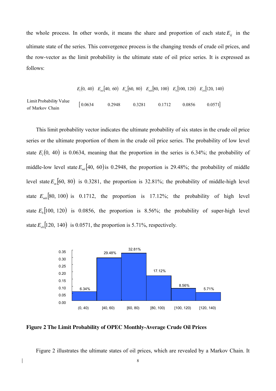the whole process. In other words, it means the share and proportion of each state  $E_{ij}$  in the ultimate state of the series. This convergence process is the changing trends of crude oil prices, and the row-vector as the limit probability is the ultimate state of oil price series. It is expressed as follows:

 $E_l(0, 40)$   $E_m[40, 60)$   $E_m[60, 80)$   $E_{mh}[80, 100)$   $E_h[100, 120)$   $E_{eh}[120, 140)$  $\begin{bmatrix} 0.0634 & 0.2948 & 0.3281 & 0.1712 & 0.0856 & 0.0571 \end{bmatrix}$  of Markov Chain Limit Probability Value

This limit probability vector indicates the ultimate probability of six states in the crude oil price series or the ultimate proportion of them in the crude oil price series. The probability of low level state  $E_l(0, 40)$  is 0.0634, meaning that the proportion in the series is 6.34%; the probability of middle-low level state  $E_{ml}$  [40, 60) is 0.2948, the proportion is 29.48%; the probability of middle level state  $E_m$  [60, 80) is 0.3281, the proportion is 32.81%; the probability of middle-high level state  $E_{mk}$  [80, 100) is 0.1712, the proportion is 17.12%; the probability of high level state  $E_h[100, 120]$  is 0.0856, the proportion is 8.56%; the probability of super-high level state  $E_{eh}$ [120, 140) is 0.0571, the proportion is 5.71%, respectively.



**Figure 2 The Limit Probability of OPEC Monthly-Average Crude Oil Prices** 

Figure 2 illustrates the ultimate states of oil prices, which are revealed by a Markov Chain. It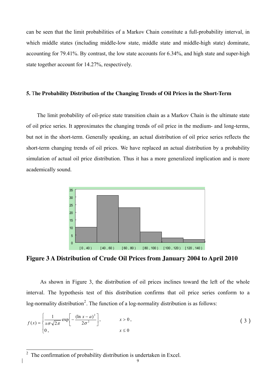can be seen that the limit probabilities of a Markov Chain constitute a full-probability interval, in which middle states (including middle-low state, middle state and middle-high state) dominate, accounting for 79.41%. By contrast, the low state accounts for 6.34%, and high state and super-high state together account for 14.27%, respectively.

#### **5.** T**he Probability Distribution of the Changing Trends of Oil Prices in the Short-Term**

The limit probability of oil-price state transition chain as a Markov Chain is the ultimate state of oil price series. It approximates the changing trends of oil price in the medium- and long-terms, but not in the short-term. Generally speaking, an actual distribution of oil price series reflects the short-term changing trends of oil prices. We have replaced an actual distribution by a probability simulation of actual oil price distribution. Thus it has a more generalized implication and is more academically sound.



**Figure 3 A Distribution of Crude Oil Prices from January 2004 to April 2010** 

As shown in Figure 3, the distribution of oil prices inclines toward the left of the whole interval. The hypothesis test of this distribution confirms that oil price series conform to a log-normality distribution<sup>[2](#page-9-0)</sup>. The function of a log-normality distribution is as follows:

$$
f(x) = \begin{cases} \frac{1}{x\sigma\sqrt{2\pi}} \exp\left[-\frac{(\ln x - a)^2}{2\sigma^2}\right], & x > 0, \\ 0, & x \le 0 \end{cases}
$$
 (3)

<span id="page-9-0"></span><sup>&</sup>lt;sup>2</sup> The confirmation of probability distribution is undertaken in Excel.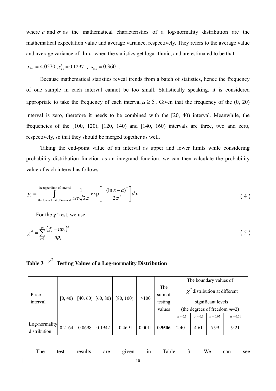where *a* and  $\sigma$  as the mathematical characteristics of a log-normality distribution are the mathematical expectation value and average variance, respectively. They refers to the average value and average variance of  $\ln x$  when the statistics get logarithmic, and are estimated to be that

 $x_{\text{ln}x} = 4.0570$ ,  $s_{\text{ln}x}^2 = 0.1297$ ,  $s_{\text{ln}x} = 0.3601$ .

 Because mathematical statistics reveal trends from a batch of statistics, hence the frequency of one sample in each interval cannot be too small. Statistically speaking, it is considered appropriate to take the frequency of each interval  $\mu \ge 5$ . Given that the frequency of the (0, 20) interval is zero, therefore it needs to be combined with the [20, 40) interval. Meanwhile, the frequencies of the [100, 120), [120, 140) and [140, 160) intervals are three, two and zero, respec tively, so that they should be merged together as well.

probability distribution function as an integrand function, we can then calculate the probability value of each interval as follows: Taking the end-point value of an interval as upper and lower limits while considering

$$
p_i = \int_{\text{the lower limit of interval}}^{\text{the upper limit of interval}} \frac{1}{x\sigma\sqrt{2\pi}} \exp\left[-\frac{(\ln x - a)^2}{2\sigma^2}\right] dx
$$
 (4)

For the  $\chi^2$  test, we use

$$
\chi^2 = \sum_{i=1}^m \frac{(f_i - np_i)^2}{np_i} \tag{5}
$$

# Table 3  $\chi^2$  Testing Values of a Log-normality Distribution

|                               |         |          |          |           |        |               | The boundary values of |                                 |                                    |                 |
|-------------------------------|---------|----------|----------|-----------|--------|---------------|------------------------|---------------------------------|------------------------------------|-----------------|
| Price                         | [0, 40) | [40, 60) | [60, 80) | [80, 100) | >100   | The<br>sum of |                        |                                 | $\chi^2$ distribution at different |                 |
| interval                      |         |          |          |           |        | testing       |                        |                                 | significant levels                 |                 |
|                               |         |          |          |           |        | values        |                        | (the degrees of freedom $m=2$ ) |                                    |                 |
|                               |         |          |          |           |        |               | $\alpha = 0.3$         | $\alpha = 0.1$                  | $\alpha = 0.05$                    | $\alpha = 0.01$ |
| Log-normality<br>distribution | 0.2164  | 0.0698   | 0.1942   | 0.4691    | 0.0011 | 0.9506        | 2.401                  | 4.61                            | 5.99                               | 9.21            |

| The test results are given in Table 3. We can see |  |  |  |  |  |
|---------------------------------------------------|--|--|--|--|--|
|---------------------------------------------------|--|--|--|--|--|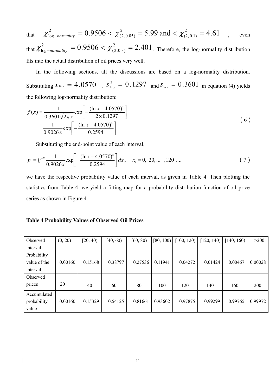that  $\chi^2_{\text{log-normality}} = 0.9506 < \chi^2_{(2,0.05)} = 5.99$  and  $< \chi^2_{(2,0.1)} = 4.61$ , even 2  $(2,0.05)$  $\chi^2_{\text{log}-normality}$  = 0.9506 <  $\chi^2_{(2,0.05)}$  = 5.99 and <  $\chi^2_{(2,0.1)}$  =

that  $\chi^2_{\text{log-normality}} = 0.9506 < \chi^2_{(2,0.3)} = 2.401$ . Therefore, the log-normality distribution fits into the actual distribution of oil prices very well.  $\chi^2_{\text{log}-normality} = 0.9506 < \chi^2_{(2,0.3)} =$ 

In the following sections, all the discussions are based on a log-normality distribution. Substituting  $x_{\ln x} = 4.0570$ ,  $s_{\ln x}^2 = 0.1297$  and  $s_{\ln x} = 0.3601$  in equation (4) yields the following log-normality distribution:

$$
f(x) = \frac{1}{0.3601\sqrt{2\pi}x} \exp\left[-\frac{(\ln x - 4.0570)^2}{2 \times 0.1297}\right]
$$
  
= 
$$
\frac{1}{0.9026x} \exp\left[-\frac{(\ln x - 4.0570)^2}{0.2594}\right]
$$
 (6)

Substituting the end-point value of each interval,

$$
p_{i} = \int_{x_{i}}^{x_{i}+20} \frac{1}{0.9026x} \exp\left[-\frac{(\ln x - 4.0570)^{2}}{0.2594}\right] dx, \quad x_{i} = 0, 20, \dots, 120, \dots \tag{7}
$$

we have the respective probability value of each interval, as given in Table 4. Then plotting the statistics from Table 4, we yield a fitting map for a probability distribution function of oil price series as shown in Figure 4.

#### **Table 4 Probability Values of Observed Oil Prices**

| Observed     | (0, 20) | [20, 40) | [40, 60) | [60, 80) | [80, 100) | [100, 120) | 120, 140 | 140, 160 | >200       |
|--------------|---------|----------|----------|----------|-----------|------------|----------|----------|------------|
| interval     |         |          |          |          |           |            |          |          |            |
| Probability  |         |          |          |          |           |            |          |          |            |
| value of the | 0.00160 | 0.15168  | 0.38797  | 0.27536  | 0.11941   | 0.04272    | 0.01424  | 0.00467  | 0.00028    |
| interval     |         |          |          |          |           |            |          |          |            |
| Observed     |         |          |          |          |           |            |          |          |            |
| prices       | 20      | 40       | 60       | 80       | 100       | 120        | 140      | 160      | <b>200</b> |
| Accumulated  |         |          |          |          |           |            |          |          |            |
| probability  | 0.00160 | 0.15329  | 0.54125  | 0.81661  | 0.93602   | 0.97875    | 0.99299  | 0.99765  | 0.99972    |
| value        |         |          |          |          |           |            |          |          |            |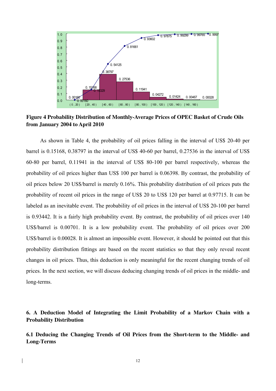

**Figure 4 Probability Distribution of Monthly-Average Prices of OPEC Basket of Crude Oils from January 2004 to April 2010** 

As shown in Table 4, the probability of oil prices falling in the interval of US\$ 20-40 per barrel is 0.15168, 0.38797 in the interval of US\$ 40-60 per barrel, 0.27536 in the interval of US\$ 60-80 per barrel, 0.11941 in the interval of US\$ 80-100 per barrel respectively, whereas the probability of oil prices higher than US\$ 100 per barrel is 0.06398. By contrast, the probability of oil prices below 20 US\$/barrel is merely 0.16%. This probability distribution of oil prices puts the probability of recent oil prices in the range of US\$ 20 to US\$ 120 per barrel at 0.97715. It can be labeled as an inevitable event. The probability of oil prices in the interval of US\$ 20-100 per barrel is 0.93442. It is a fairly high probability event. By contrast, the probability of oil prices over 140 US\$/barrel is 0.00701. It is a low probability event. The probability of oil prices over 200 US\$/barrel is 0.00028. It is almost an impossible event. However, it should be pointed out that this probability distribution fittings are based on the recent statistics so that they only reveal recent changes in oil prices. Thus, this deduction is only meaningful for the recent changing trends of oil prices. In the next section, we will discuss deducing changing trends of oil prices in the middle- and long-terms.

**6. A Deduction Model of Integrating the Limit Probability of a Markov Chain with a Probability Distribution** 

**6.1 Deducing the Changing Trends of Oil Prices from the Short-term to the Middle- and Long-Terms**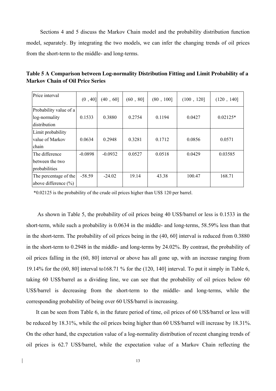Sections 4 and 5 discuss the Markov Chain model and the probability distribution function model, separately. By integrating the two models, we can infer the changing trends of oil prices from the short-term to the middle- and long-terms.

| Price interval                                          | (0, 40]   | (40, 60]  | (60, 80] | (80, 100] | (100, 120] | (120, 140] |
|---------------------------------------------------------|-----------|-----------|----------|-----------|------------|------------|
| Probability value of a<br>log-normality<br>distribution | 0.1533    | 0.3880    | 0.2754   | 0.1194    | 0.0427     | $0.02125*$ |
| Limit probability<br>value of Markov<br>chain           | 0.0634    | 0.2948    | 0.3281   | 0.1712    | 0.0856     | 0.0571     |
| The difference<br>between the two<br>probabilities      | $-0.0898$ | $-0.0932$ | 0.0527   | 0.0518    | 0.0429     | 0.03585    |
| The percentage of the<br>above difference $(\% )$       | $-58.59$  | $-24.02$  | 19.14    | 43.38     | 100.47     | 168.71     |

**Table 5 A Comparison between Log-normality Distribution Fitting and Limit Probability of a Markov Chain of Oil Price Series**

\*0.02125 is the probability of the crude oil prices higher than US\$ 120 per barrel.

As shown in Table 5, the probability of oil prices being 40 US\$/barrel or less is 0.1533 in the short-term, while such a probability is 0.0634 in the middle- and long-terms, 58.59% less than that in the short-term. The probability of oil prices being in the (40, 60] interval is reduced from 0.3880 in the short-term to 0.2948 in the middle- and long-terms by 24.02%. By contrast, the probability of oil prices falling in the (60, 80] interval or above has all gone up, with an increase ranging from 19.14% for the (60, 80] interval to168.71 % for the (120, 140] interval. To put it simply in Table 6, taking 60 US\$/barrel as a dividing line, we can see that the probability of oil prices below 60 US\$/barrel is decreasing from the short-term to the middle- and long-terms, while the corresponding probability of being over 60 US\$/barrel is increasing.

It can be seen from Table 6, in the future period of time, oil prices of 60 US\$/barrel or less will be reduced by 18.31%, while the oil prices being higher than 60 US\$/barrel will increase by 18.31%. On the other hand, the expectation value of a log-normality distribution of recent changing trends of oil prices is 62.7 US\$/barrel, while the expectation value of a Markov Chain reflecting the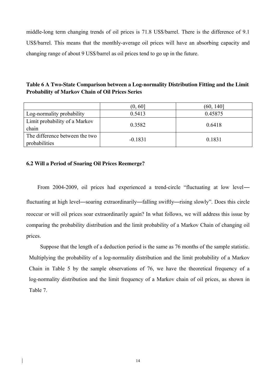middle-long term changing trends of oil prices is 71.8 US\$/barrel. There is the difference of 9.1 US\$/barrel. This means that the monthly-average oil prices will have an absorbing capacity and changing range of about 9 US\$/barrel as oil prices tend to go up in the future.

# **Table 6 A Two-State Comparison between a Log-normality Distribution Fitting and the Limit Probability of Markov Chain of Oil Prices Series**

|                                                 | (0, 60]   | (60, 140] |
|-------------------------------------------------|-----------|-----------|
| Log-normality probability                       | 0.5413    | 0.45875   |
| Limit probability of a Markov<br>chain          | 0.3582    | 0.6418    |
| The difference between the two<br>probabilities | $-0.1831$ | 0.1831    |

## **6.2 Will a Period of Soaring Oil Prices Reemerge?**

From 2004-2009, oil prices had experienced a trend-circle "fluctuating at low level fluctuating at high level—soaring extraordinarily—falling swiftly—rising slowly". Does this circle reoccur or will oil prices soar extraordinarily again? In what follows, we will address this issue by comparing the probability distribution and the limit probability of a Markov Chain of changing oil prices.

 Suppose that the length of a deduction period is the same as 76 months of the sample statistic. Multiplying the probability of a log-normality distribution and the limit probability of a Markov Chain in Table 5 by the sample observations of 76, we have the theoretical frequency of a log-normality distribution and the limit frequency of a Markov chain of oil prices, as shown in Table 7.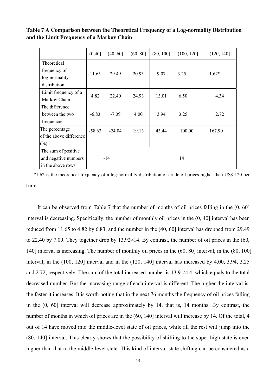**Table 7 A Comparison between the Theoretical Frequency of a Log-normality Distribution and the Limit Frequency of a Markov Chain**

|                         | (0, 40]  | (40, 60] | (60, 80] | (80, 100] | (100, 120] | (120, 140] |  |
|-------------------------|----------|----------|----------|-----------|------------|------------|--|
| Theoretical             |          |          |          |           |            |            |  |
| frequency of            | 11.65    | 29.49    | 20.93    | 9.07      | 3.25       | $1.62*$    |  |
| log-normality           |          |          |          |           |            |            |  |
| distribution            |          |          |          |           |            |            |  |
| Limit frequency of a    | 4.82     | 22.40    | 24.93    | 13.01     | 6.50       | 4.34       |  |
| Markov Chain            |          |          |          |           |            |            |  |
| The difference          |          |          |          |           |            |            |  |
| between the two         | $-6.83$  | $-7.09$  | 4.00     | 3.94      | 3.25       | 2.72       |  |
| frequencies             |          |          |          |           |            |            |  |
| The percentage          | $-58.63$ | $-24.04$ | 19.13    | 43.44     | 100.00     | 167.90     |  |
| of the above difference |          |          |          |           |            |            |  |
| (%)                     |          |          |          |           |            |            |  |
| The sum of positive     |          |          |          |           |            |            |  |
| and negative numbers    |          | -14      | 14       |           |            |            |  |
| in the above rows       |          |          |          |           |            |            |  |

\*1.62 is the theoretical frequency of a log-normality distribution of crude oil prices higher than US\$ 120 per barrel.

It can be observed from Table 7 that the number of months of oil prices falling in the (0, 60] interval is decreasing. Specifically, the number of monthly oil prices in the (0, 40] interval has been reduced from 11.65 to 4.82 by 6.83, and the number in the (40, 60] interval has dropped from 29.49 to 22.40 by 7.09. They together drop by 13.92≈14. By contrast, the number of oil prices in the (60, 140] interval is increasing. The number of monthly oil prices in the (60, 80] interval, in the (80, 100] interval, in the (100, 120] interval and in the (120, 140] interval has increased by 4.00, 3.94, 3.25 and 2.72, respectively. The sum of the total increased number is 13.91≈14, which equals to the total decreased number. But the increasing range of each interval is different. The higher the interval is, the faster it increases. It is worth noting that in the next 76 months the frequency of oil prices falling in the (0, 60] interval will decrease approximately by 14, that is, 14 months. By contrast, the number of months in which oil prices are in the (60, 140] interval will increase by 14. Of the total, 4 out of 14 have moved into the middle-level state of oil prices, while all the rest will jump into the (80, 140] interval. This clearly shows that the possibility of shifting to the super-high state is even higher than that to the middle-level state. This kind of interval-state shifting can be considered as a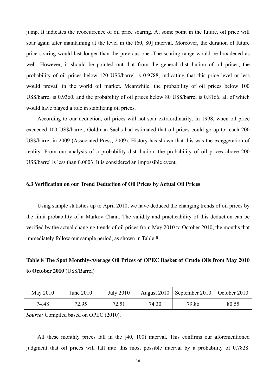jump. It indicates the reoccurrence of oil price soaring. At some point in the future, oil price will soar again after maintaining at the level in the (60, 80] interval. Moreover, the duration of future price soaring would last longer than the previous one. The soaring range would be broadened as well. However, it should be pointed out that from the general distribution of oil prices, the probability of oil prices below 120 US\$/barrel is 0.9788, indicating that this price level or less would prevail in the world oil market. Meanwhile, the probability of oil prices below 100 US\$/barrel is 0.9360, and the probability of oil prices below 80 US\$/barrel is 0.8166, all of which would have played a role in stabilizing oil prices.

According to our deduction, oil prices will not soar extraordinarily. In 1998, when oil price exceeded 100 US\$/barrel, Goldman Sachs had estimated that oil prices could go up to reach 200 US\$/barrel in 2009 (Associated Press, 2009). History has shown that this was the exaggeration of reality. From our analysis of a probability distribution, the probability of oil prices above 200 US\$/barrel is less than 0.0003. It is considered an impossible event.

#### **6.3 Verification on our Trend Deduction of Oil Prices by Actual Oil Prices**

Using sample statistics up to April 2010, we have deduced the changing trends of oil prices by the limit probability of a Markov Chain. The validity and practicability of this deduction can be verified by the actual changing trends of oil prices from May 2010 to October 2010, the months that immediately follow our sample period, as shown in Table 8.

# **Table 8 The Spot Monthly-Average Oil Prices of OPEC Basket of Crude Oils from May 2010 to October 2010** (US\$/Barrel)

| May 2010 | June 2010 | <b>July 2010</b> |       | August 2010   September 2010   October 2010 |       |
|----------|-----------|------------------|-------|---------------------------------------------|-------|
| 74.48    | 72.95     | 72.51            | 74.30 | 79.86                                       | 80.55 |

*Source:* Compiled based on OPEC (2010).

All these monthly prices fall in the [40, 100) interval. This confirms our aforementioned judgment that oil prices will fall into this most possible interval by a probability of 0.7828.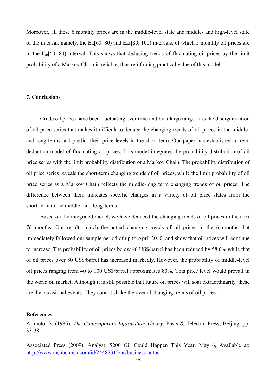Moreover, all these 6 monthly prices are in the middle-level state and middle- and high-level state of the interval, namely, the E*m*[60, 80) and E*mh*[80, 100) intervals, of which 5 monthly oil prices are in the E*m*[60, 80) interval. This shows that deducing trends of fluctuating oil prices by the limit probability of a Markov Chain is reliable, thus reinforcing practical value of this model.

### **7. Conclusions**

Crude oil prices have been fluctuating over time and by a large range. It is the disorganization of oil price series that makes it difficult to deduce the changing trends of oil prices in the middleand long-terms and predict their price levels in the short-term. Our paper has established a trend deduction model of fluctuating oil prices. This model integrates the probability distribution of oil price series with the limit probability distribution of a Markov Chain. The probability distribution of oil price series reveals the short-term changing trends of oil prices, while the limit probability of oil price series as a Markov Chain reflects the middle-long term changing trends of oil prices. The difference between them indicates specific changes in a variety of oil price states from the short-term to the middle- and long-terms.

Based on the integrated model, we have deduced the changing trends of oil prices in the next 76 months. Our results match the actual changing trends of oil prices in the 6 months that immediately followed our sample period of up to April 2010, and show that oil prices will continue to increase. The probability of oil prices below 40 US\$/barrel has been reduced by 58.6% while that of oil prices over 80 US\$/barrel has increased markedly. However, the probability of middle-level oil prices ranging from 40 to 100 US\$/barrel approximates 80%. This price level would prevail in the world oil market. Although it is still possible that future oil prices will soar extraordinarily, these are the occasional events. They cannot shake the overall changing trends of oil prices.

## **References**

Arimoto, S. (1985), *The Contemporary Information Theory*, Posts & Telecom Press, Beijing, pp. 33-38.

Associated Press (2009), Analyst: \$200 Oil Could Happen This Year, May 6, Available at: <http://www.msnbc.msn.com/id/24482312/ns/business-autos>.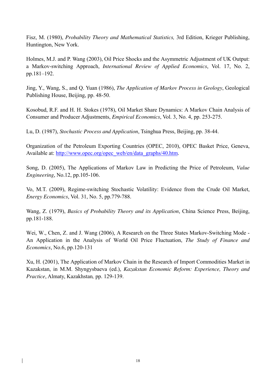Fisz, M. (1980), *Probability Theory and Mathematical Statistics,* 3rd Edition, Krieger Publishing, Huntington, New York.

Holmes, M.J. and P. Wang (2003), Oil Price Shocks and the Asymmetric Adjustment of UK Output: a Markov-switching Approach, *International Review of Applied Economics*, Vol. 17, No. 2, pp.181–192.

Jing, Y., Wang, S., and Q. Yuan (1986), *The Application of Markov Process in Geology*, Geological Publishing House, Beijing, pp. 48-50.

Kosobud, R.F. and H. H. Stokes (1978), Oil Market Share Dynamics: A Markov Chain Analysis of Consumer and Producer Adjustments, *Empirical Economics*, Vol. 3, No. 4, pp. 253-275.

Lu, D. (1987), *Stochastic Process and Application*, Tsinghua Press, Beijing, pp. 38-44.

Organization of the Petroleum Exporting Countries (OPEC, 2010), OPEC Basket Price, Geneva, Available at: [http://www.opec.org/opec\\_web/en/data\\_graphs/40.htm.](http://www.opec.org/opec_web/en/data_graphs/40.htm)

Song, D. (2005), The Applications of Markov Law in Predicting the Price of Petroleum, *Value Engineering*, No.12, pp.105-106.

Vo, M.T. (2009), Regime-switching Stochastic Volatility: Evidence from the Crude Oil Market, *Energy Economics*, Vol. 31, No. 5, pp.779-788.

Wang, Z. (1979), *Basics of Probability Theory and its Application*, China Science Press, Beijing, pp.181-188.

Wei, W., Chen, Z. and J. Wang (2006), A Research on the Three States Markov-Switching Mode -An Application in the Analysis of World Oil Price Fluctuation, *The Study of Finance and Economics*, No.6, pp.120-131

Xu, H. (2001), The Application of Markov Chain in the Research of Import Commodities Market in Kazakstan, in M.M. Shyngysbaeva (ed.), *Kazakstan Economic Reform: Experience, Theory and Practice*, Almaty, Kazakhstan*,* pp. 129-139.